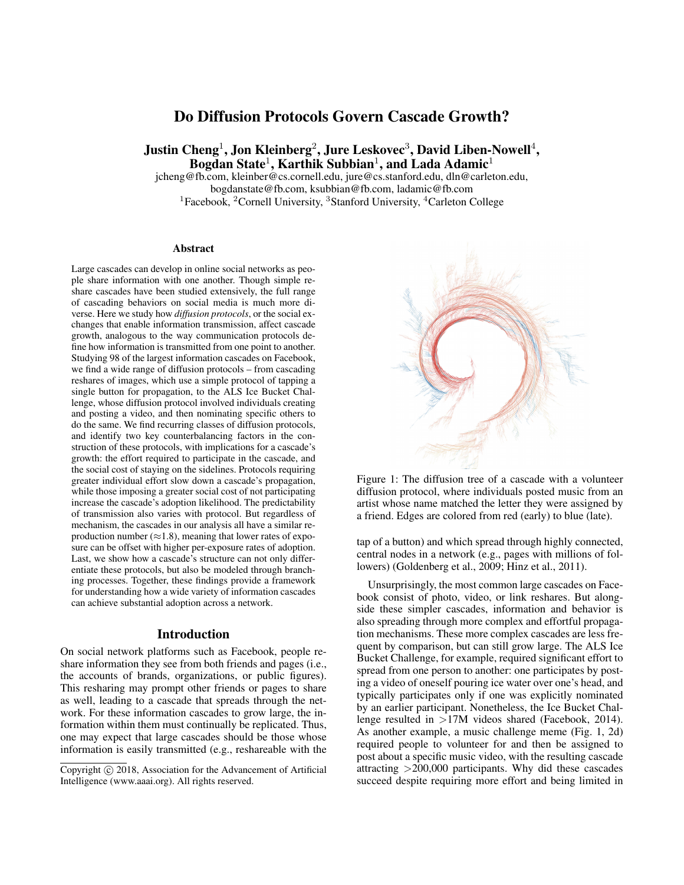# Do Diffusion Protocols Govern Cascade Growth?

Justin Cheng $^1$ , Jon Kleinberg $^2$ , Jure Leskovec $^3$ , David Liben-Nowell $^4,$ Bogdan State<sup>1</sup>, Karthik Subbian<sup>1</sup>, and Lada Adamic<sup>1</sup>

jcheng@fb.com, kleinber@cs.cornell.edu, jure@cs.stanford.edu, dln@carleton.edu, bogdanstate@fb.com, ksubbian@fb.com, ladamic@fb.com <sup>1</sup>Facebook, <sup>2</sup>Cornell University, <sup>3</sup>Stanford University, <sup>4</sup>Carleton College

#### Abstract

Large cascades can develop in online social networks as people share information with one another. Though simple reshare cascades have been studied extensively, the full range of cascading behaviors on social media is much more diverse. Here we study how *diffusion protocols*, or the social exchanges that enable information transmission, affect cascade growth, analogous to the way communication protocols define how information is transmitted from one point to another. Studying 98 of the largest information cascades on Facebook, we find a wide range of diffusion protocols – from cascading reshares of images, which use a simple protocol of tapping a single button for propagation, to the ALS Ice Bucket Challenge, whose diffusion protocol involved individuals creating and posting a video, and then nominating specific others to do the same. We find recurring classes of diffusion protocols, and identify two key counterbalancing factors in the construction of these protocols, with implications for a cascade's growth: the effort required to participate in the cascade, and the social cost of staying on the sidelines. Protocols requiring greater individual effort slow down a cascade's propagation, while those imposing a greater social cost of not participating increase the cascade's adoption likelihood. The predictability of transmission also varies with protocol. But regardless of mechanism, the cascades in our analysis all have a similar reproduction number ( $\approx$ 1.8), meaning that lower rates of exposure can be offset with higher per-exposure rates of adoption. Last, we show how a cascade's structure can not only differentiate these protocols, but also be modeled through branching processes. Together, these findings provide a framework for understanding how a wide variety of information cascades can achieve substantial adoption across a network.

#### Introduction

On social network platforms such as Facebook, people reshare information they see from both friends and pages (i.e., the accounts of brands, organizations, or public figures). This resharing may prompt other friends or pages to share as well, leading to a cascade that spreads through the network. For these information cascades to grow large, the information within them must continually be replicated. Thus, one may expect that large cascades should be those whose information is easily transmitted (e.g., reshareable with the



Figure 1: The diffusion tree of a cascade with a volunteer diffusion protocol, where individuals posted music from an artist whose name matched the letter they were assigned by a friend. Edges are colored from red (early) to blue (late).

tap of a button) and which spread through highly connected, central nodes in a network (e.g., pages with millions of followers) (Goldenberg et al., 2009; Hinz et al., 2011).

Unsurprisingly, the most common large cascades on Facebook consist of photo, video, or link reshares. But alongside these simpler cascades, information and behavior is also spreading through more complex and effortful propagation mechanisms. These more complex cascades are less frequent by comparison, but can still grow large. The ALS Ice Bucket Challenge, for example, required significant effort to spread from one person to another: one participates by posting a video of oneself pouring ice water over one's head, and typically participates only if one was explicitly nominated by an earlier participant. Nonetheless, the Ice Bucket Challenge resulted in >17M videos shared (Facebook, 2014). As another example, a music challenge meme (Fig. 1, 2d) required people to volunteer for and then be assigned to post about a specific music video, with the resulting cascade attracting >200,000 participants. Why did these cascades succeed despite requiring more effort and being limited in

Copyright (c) 2018, Association for the Advancement of Artificial Intelligence (www.aaai.org). All rights reserved.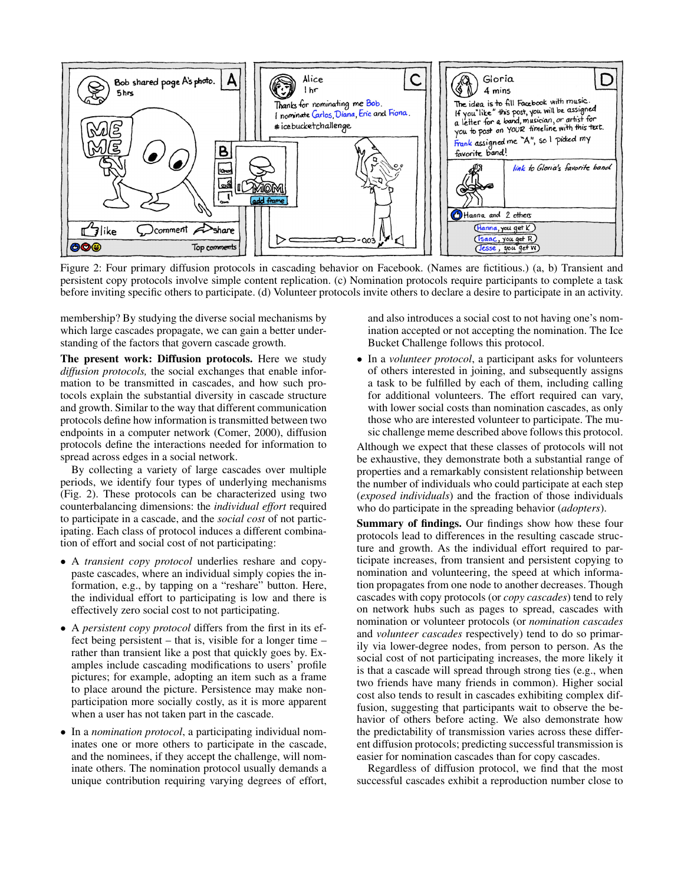

Figure 2: Four primary diffusion protocols in cascading behavior on Facebook. (Names are fictitious.) (a, b) Transient and persistent copy protocols involve simple content replication. (c) Nomination protocols require participants to complete a task before inviting specific others to participate. (d) Volunteer protocols invite others to declare a desire to participate in an activity.

membership? By studying the diverse social mechanisms by which large cascades propagate, we can gain a better understanding of the factors that govern cascade growth.

The present work: Diffusion protocols. Here we study *diffusion protocols,* the social exchanges that enable information to be transmitted in cascades, and how such protocols explain the substantial diversity in cascade structure and growth. Similar to the way that different communication protocols define how information is transmitted between two endpoints in a computer network (Comer, 2000), diffusion protocols define the interactions needed for information to spread across edges in a social network.

By collecting a variety of large cascades over multiple periods, we identify four types of underlying mechanisms (Fig. 2). These protocols can be characterized using two counterbalancing dimensions: the *individual effort* required to participate in a cascade, and the *social cost* of not participating. Each class of protocol induces a different combination of effort and social cost of not participating:

- A *transient copy protocol* underlies reshare and copypaste cascades, where an individual simply copies the information, e.g., by tapping on a "reshare" button. Here, the individual effort to participating is low and there is effectively zero social cost to not participating.
- A *persistent copy protocol* differs from the first in its effect being persistent – that is, visible for a longer time – rather than transient like a post that quickly goes by. Examples include cascading modifications to users' profile pictures; for example, adopting an item such as a frame to place around the picture. Persistence may make nonparticipation more socially costly, as it is more apparent when a user has not taken part in the cascade.
- In a *nomination protocol*, a participating individual nominates one or more others to participate in the cascade, and the nominees, if they accept the challenge, will nominate others. The nomination protocol usually demands a unique contribution requiring varying degrees of effort,

and also introduces a social cost to not having one's nomination accepted or not accepting the nomination. The Ice Bucket Challenge follows this protocol.

• In a *volunteer protocol*, a participant asks for volunteers of others interested in joining, and subsequently assigns a task to be fulfilled by each of them, including calling for additional volunteers. The effort required can vary, with lower social costs than nomination cascades, as only those who are interested volunteer to participate. The music challenge meme described above follows this protocol.

Although we expect that these classes of protocols will not be exhaustive, they demonstrate both a substantial range of properties and a remarkably consistent relationship between the number of individuals who could participate at each step (*exposed individuals*) and the fraction of those individuals who do participate in the spreading behavior (*adopters*).

Summary of findings. Our findings show how these four protocols lead to differences in the resulting cascade structure and growth. As the individual effort required to participate increases, from transient and persistent copying to nomination and volunteering, the speed at which information propagates from one node to another decreases. Though cascades with copy protocols (or *copy cascades*) tend to rely on network hubs such as pages to spread, cascades with nomination or volunteer protocols (or *nomination cascades* and *volunteer cascades* respectively) tend to do so primarily via lower-degree nodes, from person to person. As the social cost of not participating increases, the more likely it is that a cascade will spread through strong ties (e.g., when two friends have many friends in common). Higher social cost also tends to result in cascades exhibiting complex diffusion, suggesting that participants wait to observe the behavior of others before acting. We also demonstrate how the predictability of transmission varies across these different diffusion protocols; predicting successful transmission is easier for nomination cascades than for copy cascades.

Regardless of diffusion protocol, we find that the most successful cascades exhibit a reproduction number close to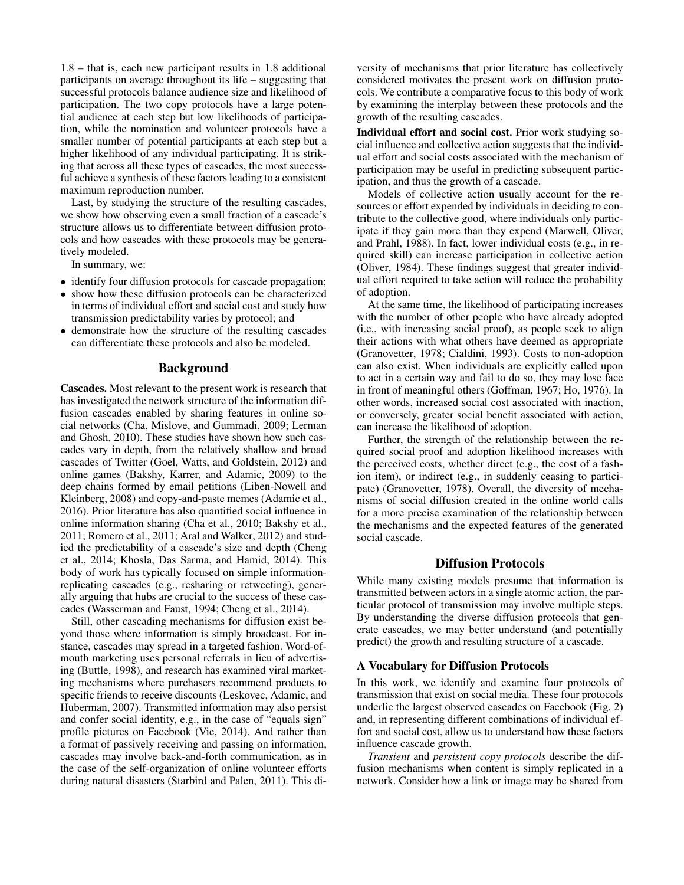1.8 – that is, each new participant results in 1.8 additional participants on average throughout its life – suggesting that successful protocols balance audience size and likelihood of participation. The two copy protocols have a large potential audience at each step but low likelihoods of participation, while the nomination and volunteer protocols have a smaller number of potential participants at each step but a higher likelihood of any individual participating. It is striking that across all these types of cascades, the most successful achieve a synthesis of these factors leading to a consistent maximum reproduction number.

Last, by studying the structure of the resulting cascades, we show how observing even a small fraction of a cascade's structure allows us to differentiate between diffusion protocols and how cascades with these protocols may be generatively modeled.

In summary, we:

- identify four diffusion protocols for cascade propagation;
- show how these diffusion protocols can be characterized in terms of individual effort and social cost and study how transmission predictability varies by protocol; and
- demonstrate how the structure of the resulting cascades can differentiate these protocols and also be modeled.

### Background

Cascades. Most relevant to the present work is research that has investigated the network structure of the information diffusion cascades enabled by sharing features in online social networks (Cha, Mislove, and Gummadi, 2009; Lerman and Ghosh, 2010). These studies have shown how such cascades vary in depth, from the relatively shallow and broad cascades of Twitter (Goel, Watts, and Goldstein, 2012) and online games (Bakshy, Karrer, and Adamic, 2009) to the deep chains formed by email petitions (Liben-Nowell and Kleinberg, 2008) and copy-and-paste memes (Adamic et al., 2016). Prior literature has also quantified social influence in online information sharing (Cha et al., 2010; Bakshy et al., 2011; Romero et al., 2011; Aral and Walker, 2012) and studied the predictability of a cascade's size and depth (Cheng et al., 2014; Khosla, Das Sarma, and Hamid, 2014). This body of work has typically focused on simple informationreplicating cascades (e.g., resharing or retweeting), generally arguing that hubs are crucial to the success of these cascades (Wasserman and Faust, 1994; Cheng et al., 2014).

Still, other cascading mechanisms for diffusion exist beyond those where information is simply broadcast. For instance, cascades may spread in a targeted fashion. Word-ofmouth marketing uses personal referrals in lieu of advertising (Buttle, 1998), and research has examined viral marketing mechanisms where purchasers recommend products to specific friends to receive discounts (Leskovec, Adamic, and Huberman, 2007). Transmitted information may also persist and confer social identity, e.g., in the case of "equals sign" profile pictures on Facebook (Vie, 2014). And rather than a format of passively receiving and passing on information, cascades may involve back-and-forth communication, as in the case of the self-organization of online volunteer efforts during natural disasters (Starbird and Palen, 2011). This di-

versity of mechanisms that prior literature has collectively considered motivates the present work on diffusion protocols. We contribute a comparative focus to this body of work by examining the interplay between these protocols and the growth of the resulting cascades.

Individual effort and social cost. Prior work studying social influence and collective action suggests that the individual effort and social costs associated with the mechanism of participation may be useful in predicting subsequent participation, and thus the growth of a cascade.

Models of collective action usually account for the resources or effort expended by individuals in deciding to contribute to the collective good, where individuals only participate if they gain more than they expend (Marwell, Oliver, and Prahl, 1988). In fact, lower individual costs (e.g., in required skill) can increase participation in collective action (Oliver, 1984). These findings suggest that greater individual effort required to take action will reduce the probability of adoption.

At the same time, the likelihood of participating increases with the number of other people who have already adopted (i.e., with increasing social proof), as people seek to align their actions with what others have deemed as appropriate (Granovetter, 1978; Cialdini, 1993). Costs to non-adoption can also exist. When individuals are explicitly called upon to act in a certain way and fail to do so, they may lose face in front of meaningful others (Goffman, 1967; Ho, 1976). In other words, increased social cost associated with inaction, or conversely, greater social benefit associated with action, can increase the likelihood of adoption.

Further, the strength of the relationship between the required social proof and adoption likelihood increases with the perceived costs, whether direct (e.g., the cost of a fashion item), or indirect (e.g., in suddenly ceasing to participate) (Granovetter, 1978). Overall, the diversity of mechanisms of social diffusion created in the online world calls for a more precise examination of the relationship between the mechanisms and the expected features of the generated social cascade.

#### Diffusion Protocols

While many existing models presume that information is transmitted between actors in a single atomic action, the particular protocol of transmission may involve multiple steps. By understanding the diverse diffusion protocols that generate cascades, we may better understand (and potentially predict) the growth and resulting structure of a cascade.

#### A Vocabulary for Diffusion Protocols

In this work, we identify and examine four protocols of transmission that exist on social media. These four protocols underlie the largest observed cascades on Facebook (Fig. 2) and, in representing different combinations of individual effort and social cost, allow us to understand how these factors influence cascade growth.

*Transient* and *persistent copy protocols* describe the diffusion mechanisms when content is simply replicated in a network. Consider how a link or image may be shared from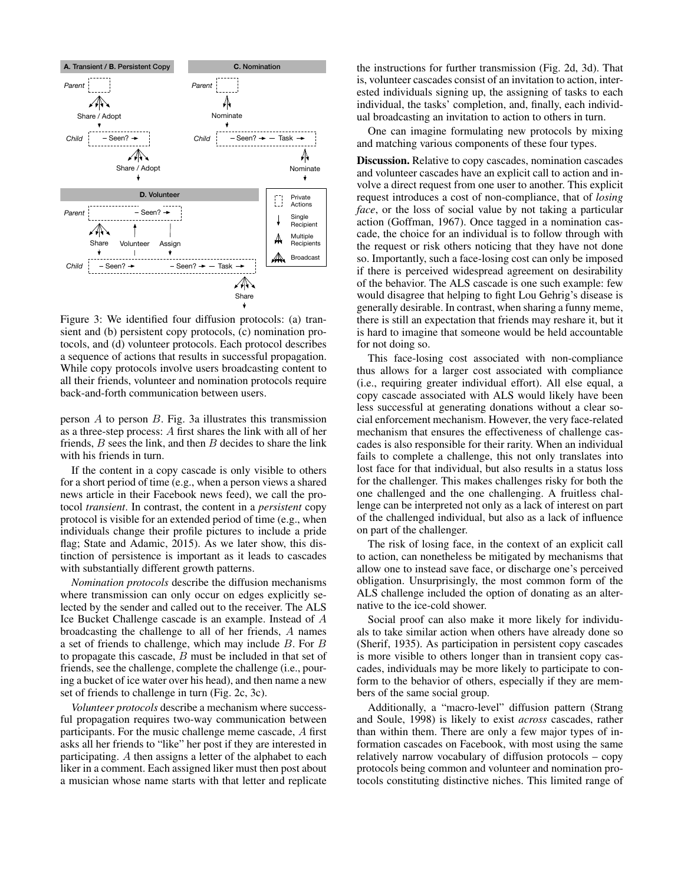

Figure 3: We identified four diffusion protocols: (a) transient and (b) persistent copy protocols, (c) nomination protocols, and (d) volunteer protocols. Each protocol describes a sequence of actions that results in successful propagation. While copy protocols involve users broadcasting content to all their friends, volunteer and nomination protocols require back-and-forth communication between users.

person  $A$  to person  $B$ . Fig. 3a illustrates this transmission as a three-step process: A first shares the link with all of her friends,  $B$  sees the link, and then  $B$  decides to share the link with his friends in turn.

If the content in a copy cascade is only visible to others for a short period of time (e.g., when a person views a shared news article in their Facebook news feed), we call the protocol *transient*. In contrast, the content in a *persistent* copy protocol is visible for an extended period of time (e.g., when individuals change their profile pictures to include a pride flag; State and Adamic, 2015). As we later show, this distinction of persistence is important as it leads to cascades with substantially different growth patterns.

*Nomination protocols* describe the diffusion mechanisms where transmission can only occur on edges explicitly selected by the sender and called out to the receiver. The ALS Ice Bucket Challenge cascade is an example. Instead of A broadcasting the challenge to all of her friends, A names a set of friends to challenge, which may include B. For B to propagate this cascade,  $B$  must be included in that set of friends, see the challenge, complete the challenge (i.e., pouring a bucket of ice water over his head), and then name a new set of friends to challenge in turn (Fig. 2c, 3c).

*Volunteer protocols* describe a mechanism where successful propagation requires two-way communication between participants. For the music challenge meme cascade, A first asks all her friends to "like" her post if they are interested in participating. A then assigns a letter of the alphabet to each liker in a comment. Each assigned liker must then post about a musician whose name starts with that letter and replicate

the instructions for further transmission (Fig. 2d, 3d). That is, volunteer cascades consist of an invitation to action, interested individuals signing up, the assigning of tasks to each individual, the tasks' completion, and, finally, each individual broadcasting an invitation to action to others in turn.

One can imagine formulating new protocols by mixing and matching various components of these four types.

Discussion. Relative to copy cascades, nomination cascades and volunteer cascades have an explicit call to action and involve a direct request from one user to another. This explicit request introduces a cost of non-compliance, that of *losing face*, or the loss of social value by not taking a particular action (Goffman, 1967). Once tagged in a nomination cascade, the choice for an individual is to follow through with the request or risk others noticing that they have not done so. Importantly, such a face-losing cost can only be imposed if there is perceived widespread agreement on desirability of the behavior. The ALS cascade is one such example: few would disagree that helping to fight Lou Gehrig's disease is generally desirable. In contrast, when sharing a funny meme, there is still an expectation that friends may reshare it, but it is hard to imagine that someone would be held accountable for not doing so.

This face-losing cost associated with non-compliance thus allows for a larger cost associated with compliance (i.e., requiring greater individual effort). All else equal, a copy cascade associated with ALS would likely have been less successful at generating donations without a clear social enforcement mechanism. However, the very face-related mechanism that ensures the effectiveness of challenge cascades is also responsible for their rarity. When an individual fails to complete a challenge, this not only translates into lost face for that individual, but also results in a status loss for the challenger. This makes challenges risky for both the one challenged and the one challenging. A fruitless challenge can be interpreted not only as a lack of interest on part of the challenged individual, but also as a lack of influence on part of the challenger.

The risk of losing face, in the context of an explicit call to action, can nonetheless be mitigated by mechanisms that allow one to instead save face, or discharge one's perceived obligation. Unsurprisingly, the most common form of the ALS challenge included the option of donating as an alternative to the ice-cold shower.

Social proof can also make it more likely for individuals to take similar action when others have already done so (Sherif, 1935). As participation in persistent copy cascades is more visible to others longer than in transient copy cascades, individuals may be more likely to participate to conform to the behavior of others, especially if they are members of the same social group.

Additionally, a "macro-level" diffusion pattern (Strang and Soule, 1998) is likely to exist *across* cascades, rather than within them. There are only a few major types of information cascades on Facebook, with most using the same relatively narrow vocabulary of diffusion protocols – copy protocols being common and volunteer and nomination protocols constituting distinctive niches. This limited range of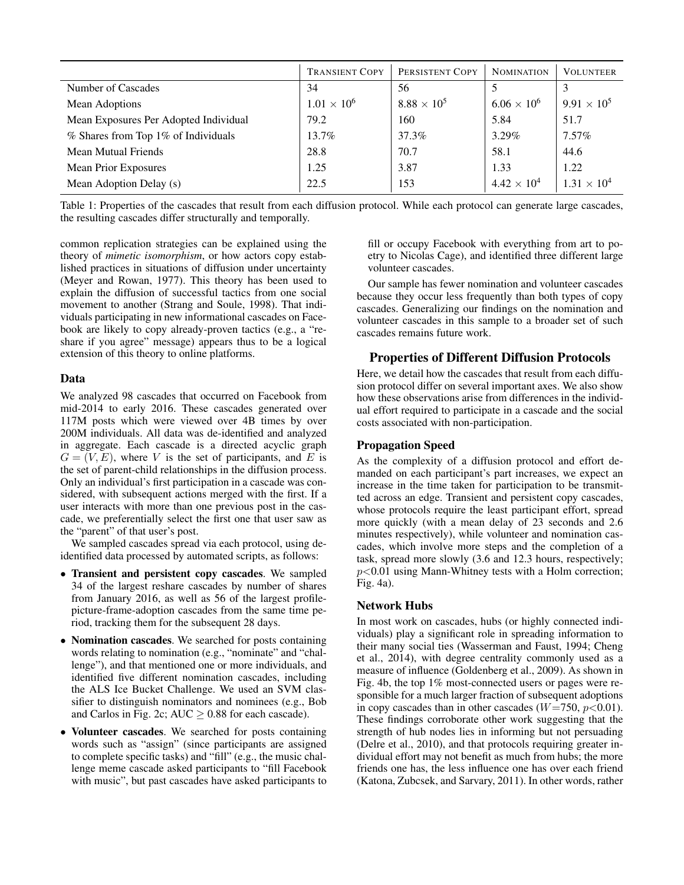|                                       | <b>TRANSIENT COPY</b> | PERSISTENT COPY      | <b>NOMINATION</b>    | <b>VOLUNTEER</b>     |
|---------------------------------------|-----------------------|----------------------|----------------------|----------------------|
| Number of Cascades                    | 34                    | 56                   |                      |                      |
| <b>Mean Adoptions</b>                 | $1.01 \times 10^{6}$  | $8.88 \times 10^{5}$ | $6.06 \times 10^{6}$ | $9.91 \times 10^{5}$ |
| Mean Exposures Per Adopted Individual | 79.2                  | 160                  | 5.84                 | 51.7                 |
| % Shares from Top 1% of Individuals   | 13.7%                 | 37.3%                | $3.29\%$             | $7.57\%$             |
| <b>Mean Mutual Friends</b>            | 28.8                  | 70.7                 | 58.1                 | 44.6                 |
| <b>Mean Prior Exposures</b>           | 1.25                  | 3.87                 | 1.33                 | 1.22                 |
| Mean Adoption Delay (s)               | 22.5                  | 153                  | $4.42 \times 10^{4}$ | $1.31 \times 10^{4}$ |

Table 1: Properties of the cascades that result from each diffusion protocol. While each protocol can generate large cascades, the resulting cascades differ structurally and temporally.

common replication strategies can be explained using the theory of *mimetic isomorphism*, or how actors copy established practices in situations of diffusion under uncertainty (Meyer and Rowan, 1977). This theory has been used to explain the diffusion of successful tactics from one social movement to another (Strang and Soule, 1998). That individuals participating in new informational cascades on Facebook are likely to copy already-proven tactics (e.g., a "reshare if you agree" message) appears thus to be a logical extension of this theory to online platforms.

# Data

We analyzed 98 cascades that occurred on Facebook from mid-2014 to early 2016. These cascades generated over 117M posts which were viewed over 4B times by over 200M individuals. All data was de-identified and analyzed in aggregate. Each cascade is a directed acyclic graph  $G = (V, E)$ , where V is the set of participants, and E is the set of parent-child relationships in the diffusion process. Only an individual's first participation in a cascade was considered, with subsequent actions merged with the first. If a user interacts with more than one previous post in the cascade, we preferentially select the first one that user saw as the "parent" of that user's post.

We sampled cascades spread via each protocol, using deidentified data processed by automated scripts, as follows:

- Transient and persistent copy cascades. We sampled 34 of the largest reshare cascades by number of shares from January 2016, as well as 56 of the largest profilepicture-frame-adoption cascades from the same time period, tracking them for the subsequent 28 days.
- Nomination cascades. We searched for posts containing words relating to nomination (e.g., "nominate" and "challenge"), and that mentioned one or more individuals, and identified five different nomination cascades, including the ALS Ice Bucket Challenge. We used an SVM classifier to distinguish nominators and nominees (e.g., Bob and Carlos in Fig. 2c; AUC  $\geq$  0.88 for each cascade).
- Volunteer cascades. We searched for posts containing words such as "assign" (since participants are assigned to complete specific tasks) and "fill" (e.g., the music challenge meme cascade asked participants to "fill Facebook with music", but past cascades have asked participants to

fill or occupy Facebook with everything from art to poetry to Nicolas Cage), and identified three different large volunteer cascades.

Our sample has fewer nomination and volunteer cascades because they occur less frequently than both types of copy cascades. Generalizing our findings on the nomination and volunteer cascades in this sample to a broader set of such cascades remains future work.

# Properties of Different Diffusion Protocols

Here, we detail how the cascades that result from each diffusion protocol differ on several important axes. We also show how these observations arise from differences in the individual effort required to participate in a cascade and the social costs associated with non-participation.

# Propagation Speed

As the complexity of a diffusion protocol and effort demanded on each participant's part increases, we expect an increase in the time taken for participation to be transmitted across an edge. Transient and persistent copy cascades, whose protocols require the least participant effort, spread more quickly (with a mean delay of 23 seconds and 2.6 minutes respectively), while volunteer and nomination cascades, which involve more steps and the completion of a task, spread more slowly (3.6 and 12.3 hours, respectively;  $p<0.01$  using Mann-Whitney tests with a Holm correction; Fig. 4a).

# Network Hubs

In most work on cascades, hubs (or highly connected individuals) play a significant role in spreading information to their many social ties (Wasserman and Faust, 1994; Cheng et al., 2014), with degree centrality commonly used as a measure of influence (Goldenberg et al., 2009). As shown in Fig. 4b, the top 1% most-connected users or pages were responsible for a much larger fraction of subsequent adoptions in copy cascades than in other cascades ( $W=750$ ,  $p<0.01$ ). These findings corroborate other work suggesting that the strength of hub nodes lies in informing but not persuading (Delre et al., 2010), and that protocols requiring greater individual effort may not benefit as much from hubs; the more friends one has, the less influence one has over each friend (Katona, Zubcsek, and Sarvary, 2011). In other words, rather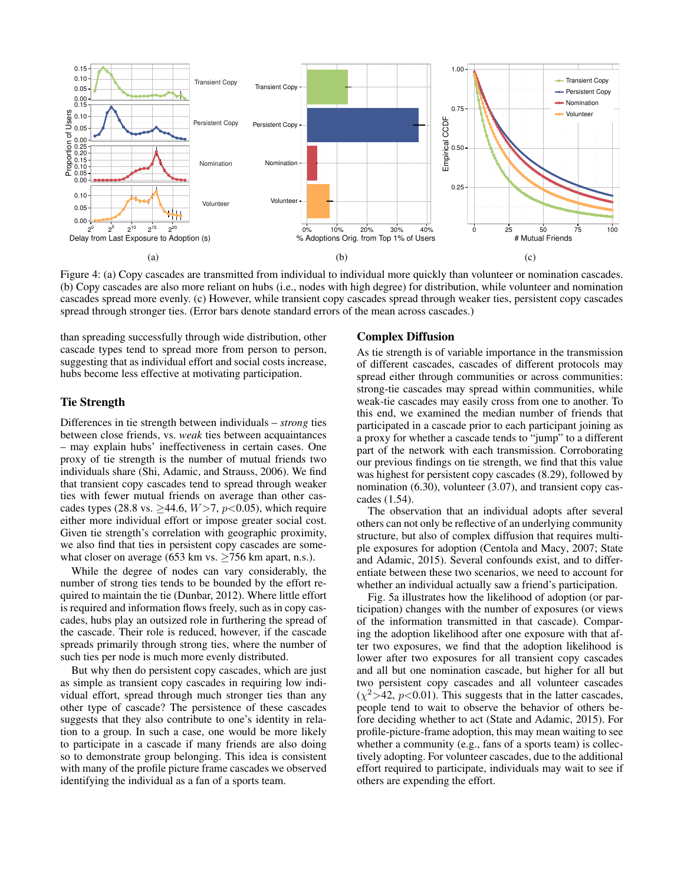

Figure 4: (a) Copy cascades are transmitted from individual to individual more quickly than volunteer or nomination cascades. (b) Copy cascades are also more reliant on hubs (i.e., nodes with high degree) for distribution, while volunteer and nomination cascades spread more evenly. (c) However, while transient copy cascades spread through weaker ties, persistent copy cascades spread through stronger ties. (Error bars denote standard errors of the mean across cascades.)

than spreading successfully through wide distribution, other cascade types tend to spread more from person to person, suggesting that as individual effort and social costs increase, hubs become less effective at motivating participation.

### Tie Strength

Differences in tie strength between individuals – *strong* ties between close friends, vs. *weak* ties between acquaintances – may explain hubs' ineffectiveness in certain cases. One proxy of tie strength is the number of mutual friends two individuals share (Shi, Adamic, and Strauss, 2006). We find that transient copy cascades tend to spread through weaker ties with fewer mutual friends on average than other cascades types (28.8 vs.  $\geq$ 44.6,  $W$ >7,  $p$ <0.05), which require either more individual effort or impose greater social cost. Given tie strength's correlation with geographic proximity, we also find that ties in persistent copy cascades are somewhat closer on average (653 km vs.  $\geq$  756 km apart, n.s.).

While the degree of nodes can vary considerably, the number of strong ties tends to be bounded by the effort required to maintain the tie (Dunbar, 2012). Where little effort is required and information flows freely, such as in copy cascades, hubs play an outsized role in furthering the spread of the cascade. Their role is reduced, however, if the cascade spreads primarily through strong ties, where the number of such ties per node is much more evenly distributed.

But why then do persistent copy cascades, which are just as simple as transient copy cascades in requiring low individual effort, spread through much stronger ties than any other type of cascade? The persistence of these cascades suggests that they also contribute to one's identity in relation to a group. In such a case, one would be more likely to participate in a cascade if many friends are also doing so to demonstrate group belonging. This idea is consistent with many of the profile picture frame cascades we observed identifying the individual as a fan of a sports team.

### Complex Diffusion

As tie strength is of variable importance in the transmission of different cascades, cascades of different protocols may spread either through communities or across communities: strong-tie cascades may spread within communities, while weak-tie cascades may easily cross from one to another. To this end, we examined the median number of friends that participated in a cascade prior to each participant joining as a proxy for whether a cascade tends to "jump" to a different part of the network with each transmission. Corroborating our previous findings on tie strength, we find that this value was highest for persistent copy cascades (8.29), followed by nomination (6.30), volunteer (3.07), and transient copy cascades (1.54).

The observation that an individual adopts after several others can not only be reflective of an underlying community structure, but also of complex diffusion that requires multiple exposures for adoption (Centola and Macy, 2007; State and Adamic, 2015). Several confounds exist, and to differentiate between these two scenarios, we need to account for whether an individual actually saw a friend's participation.

Fig. 5a illustrates how the likelihood of adoption (or participation) changes with the number of exposures (or views of the information transmitted in that cascade). Comparing the adoption likelihood after one exposure with that after two exposures, we find that the adoption likelihood is lower after two exposures for all transient copy cascades and all but one nomination cascade, but higher for all but two persistent copy cascades and all volunteer cascades  $(\chi^2 > 42, p < 0.01)$ . This suggests that in the latter cascades, people tend to wait to observe the behavior of others before deciding whether to act (State and Adamic, 2015). For profile-picture-frame adoption, this may mean waiting to see whether a community (e.g., fans of a sports team) is collectively adopting. For volunteer cascades, due to the additional effort required to participate, individuals may wait to see if others are expending the effort.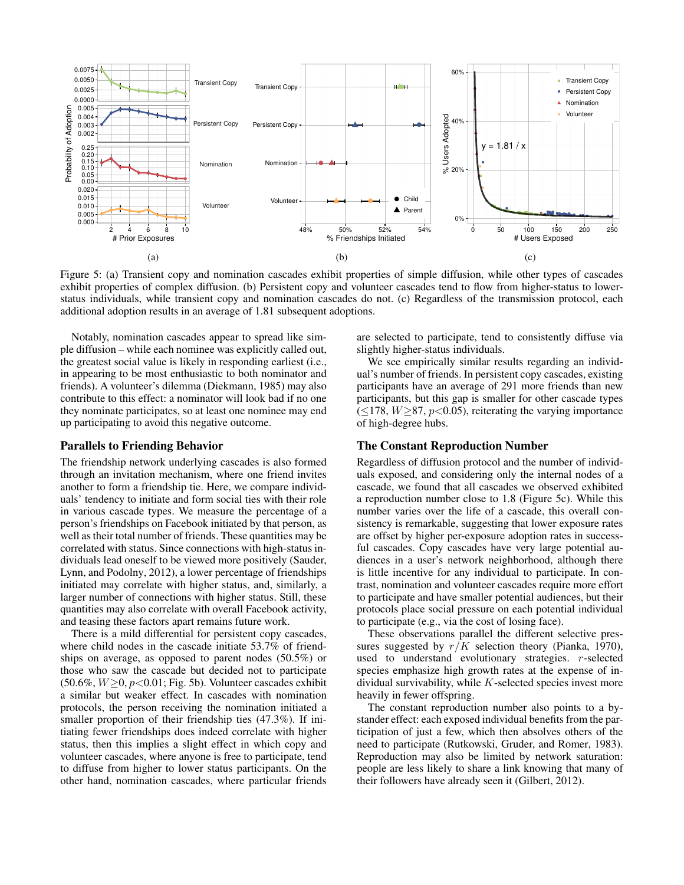

Figure 5: (a) Transient copy and nomination cascades exhibit properties of simple diffusion, while other types of cascades exhibit properties of complex diffusion. (b) Persistent copy and volunteer cascades tend to flow from higher-status to lowerstatus individuals, while transient copy and nomination cascades do not. (c) Regardless of the transmission protocol, each additional adoption results in an average of 1.81 subsequent adoptions.

Notably, nomination cascades appear to spread like simple diffusion – while each nominee was explicitly called out, the greatest social value is likely in responding earliest (i.e., in appearing to be most enthusiastic to both nominator and friends). A volunteer's dilemma (Diekmann, 1985) may also contribute to this effect: a nominator will look bad if no one they nominate participates, so at least one nominee may end up participating to avoid this negative outcome.

#### Parallels to Friending Behavior

The friendship network underlying cascades is also formed through an invitation mechanism, where one friend invites another to form a friendship tie. Here, we compare individuals' tendency to initiate and form social ties with their role in various cascade types. We measure the percentage of a person's friendships on Facebook initiated by that person, as well as their total number of friends. These quantities may be correlated with status. Since connections with high-status individuals lead oneself to be viewed more positively (Sauder, Lynn, and Podolny, 2012), a lower percentage of friendships initiated may correlate with higher status, and, similarly, a larger number of connections with higher status. Still, these quantities may also correlate with overall Facebook activity, and teasing these factors apart remains future work.

There is a mild differential for persistent copy cascades, where child nodes in the cascade initiate 53.7% of friendships on average, as opposed to parent nodes (50.5%) or those who saw the cascade but decided not to participate  $(50.6\%, W \ge 0, p < 0.01;$  Fig. 5b). Volunteer cascades exhibit a similar but weaker effect. In cascades with nomination protocols, the person receiving the nomination initiated a smaller proportion of their friendship ties (47.3%). If initiating fewer friendships does indeed correlate with higher status, then this implies a slight effect in which copy and volunteer cascades, where anyone is free to participate, tend to diffuse from higher to lower status participants. On the other hand, nomination cascades, where particular friends

are selected to participate, tend to consistently diffuse via slightly higher-status individuals.

We see empirically similar results regarding an individual's number of friends. In persistent copy cascades, existing participants have an average of 291 more friends than new participants, but this gap is smaller for other cascade types  $(\leq 178, W \geq 87, p < 0.05)$ , reiterating the varying importance of high-degree hubs.

#### The Constant Reproduction Number

Regardless of diffusion protocol and the number of individuals exposed, and considering only the internal nodes of a cascade, we found that all cascades we observed exhibited a reproduction number close to 1.8 (Figure 5c). While this number varies over the life of a cascade, this overall consistency is remarkable, suggesting that lower exposure rates are offset by higher per-exposure adoption rates in successful cascades. Copy cascades have very large potential audiences in a user's network neighborhood, although there is little incentive for any individual to participate. In contrast, nomination and volunteer cascades require more effort to participate and have smaller potential audiences, but their protocols place social pressure on each potential individual to participate (e.g., via the cost of losing face).

These observations parallel the different selective pressures suggested by  $r/K$  selection theory (Pianka, 1970), used to understand evolutionary strategies. r-selected species emphasize high growth rates at the expense of individual survivability, while  $K$ -selected species invest more heavily in fewer offspring.

The constant reproduction number also points to a bystander effect: each exposed individual benefits from the participation of just a few, which then absolves others of the need to participate (Rutkowski, Gruder, and Romer, 1983). Reproduction may also be limited by network saturation: people are less likely to share a link knowing that many of their followers have already seen it (Gilbert, 2012).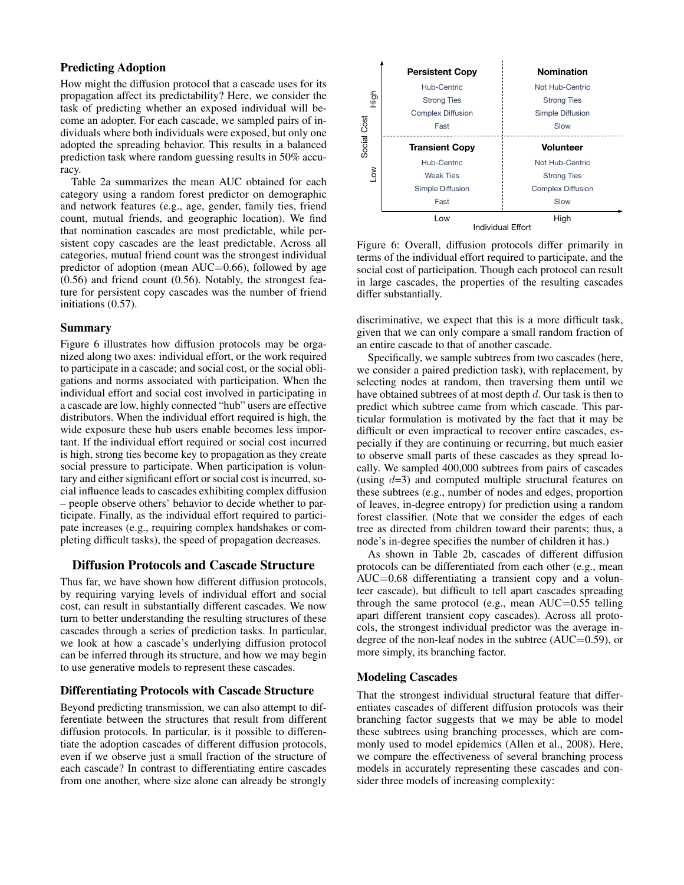## Predicting Adoption

How might the diffusion protocol that a cascade uses for its propagation affect its predictability? Here, we consider the task of predicting whether an exposed individual will become an adopter. For each cascade, we sampled pairs of individuals where both individuals were exposed, but only one adopted the spreading behavior. This results in a balanced prediction task where random guessing results in 50% accuracy.

Table 2a summarizes the mean AUC obtained for each category using a random forest predictor on demographic and network features (e.g., age, gender, family ties, friend count, mutual friends, and geographic location). We find that nomination cascades are most predictable, while persistent copy cascades are the least predictable. Across all categories, mutual friend count was the strongest individual predictor of adoption (mean  $AUC=0.66$ ), followed by age (0.56) and friend count (0.56). Notably, the strongest feature for persistent copy cascades was the number of friend initiations (0.57).

### Summary

Figure 6 illustrates how diffusion protocols may be organized along two axes: individual effort, or the work required to participate in a cascade; and social cost, or the social obligations and norms associated with participation. When the individual effort and social cost involved in participating in a cascade are low, highly connected "hub" users are effective distributors. When the individual effort required is high, the wide exposure these hub users enable becomes less important. If the individual effort required or social cost incurred is high, strong ties become key to propagation as they create social pressure to participate. When participation is voluntary and either significant effort or social cost is incurred, social influence leads to cascades exhibiting complex diffusion – people observe others' behavior to decide whether to participate. Finally, as the individual effort required to participate increases (e.g., requiring complex handshakes or completing difficult tasks), the speed of propagation decreases.

# Diffusion Protocols and Cascade Structure

Thus far, we have shown how different diffusion protocols, by requiring varying levels of individual effort and social cost, can result in substantially different cascades. We now turn to better understanding the resulting structures of these cascades through a series of prediction tasks. In particular, we look at how a cascade's underlying diffusion protocol can be inferred through its structure, and how we may begin to use generative models to represent these cascades.

### Differentiating Protocols with Cascade Structure

Beyond predicting transmission, we can also attempt to differentiate between the structures that result from different diffusion protocols. In particular, is it possible to differentiate the adoption cascades of different diffusion protocols, even if we observe just a small fraction of the structure of each cascade? In contrast to differentiating entire cascades from one another, where size alone can already be strongly



Figure 6: Overall, diffusion protocols differ primarily in terms of the individual effort required to participate, and the social cost of participation. Though each protocol can result in large cascades, the properties of the resulting cascades differ substantially.

discriminative, we expect that this is a more difficult task, given that we can only compare a small random fraction of an entire cascade to that of another cascade.

Specifically, we sample subtrees from two cascades (here, we consider a paired prediction task), with replacement, by selecting nodes at random, then traversing them until we have obtained subtrees of at most depth d. Our task is then to predict which subtree came from which cascade. This particular formulation is motivated by the fact that it may be difficult or even impractical to recover entire cascades, especially if they are continuing or recurring, but much easier to observe small parts of these cascades as they spread locally. We sampled 400,000 subtrees from pairs of cascades (using  $d=3$ ) and computed multiple structural features on these subtrees (e.g., number of nodes and edges, proportion of leaves, in-degree entropy) for prediction using a random forest classifier. (Note that we consider the edges of each tree as directed from children toward their parents; thus, a node's in-degree specifies the number of children it has.)

As shown in Table 2b, cascades of different diffusion protocols can be differentiated from each other (e.g., mean AUC=0.68 differentiating a transient copy and a volunteer cascade), but difficult to tell apart cascades spreading through the same protocol (e.g., mean AUC=0.55 telling apart different transient copy cascades). Across all protocols, the strongest individual predictor was the average indegree of the non-leaf nodes in the subtree (AUC=0.59), or more simply, its branching factor.

#### Modeling Cascades

That the strongest individual structural feature that differentiates cascades of different diffusion protocols was their branching factor suggests that we may be able to model these subtrees using branching processes, which are commonly used to model epidemics (Allen et al., 2008). Here, we compare the effectiveness of several branching process models in accurately representing these cascades and consider three models of increasing complexity: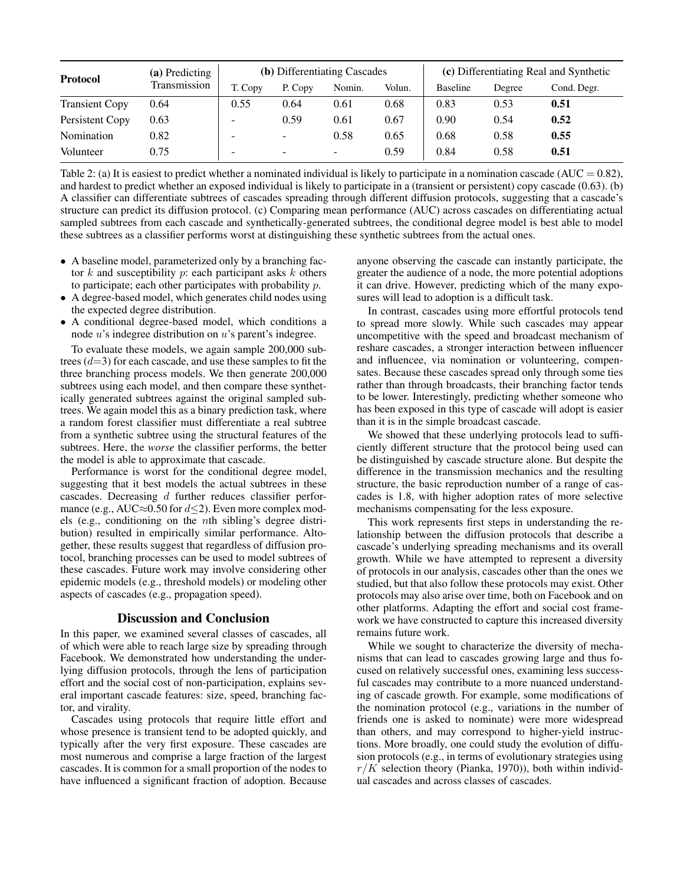| <b>Protocol</b>       | (a) Predicting<br>Transmission | <b>(b)</b> Differentiating Cascades |         |                          | (c) Differentiating Real and Synthetic |                 |        |             |
|-----------------------|--------------------------------|-------------------------------------|---------|--------------------------|----------------------------------------|-----------------|--------|-------------|
|                       |                                | T. Copy                             | P. Copy | Nomin.                   | Volun.                                 | <b>Baseline</b> | Degree | Cond. Degr. |
| <b>Transient Copy</b> | 0.64                           | 0.55                                | 0.64    | 0.61                     | 0.68                                   | 0.83            | 0.53   | 0.51        |
| Persistent Copy       | 0.63                           | -                                   | 0.59    | 0.61                     | 0.67                                   | 0.90            | 0.54   | 0.52        |
| Nomination            | 0.82                           | -                                   | -       | 0.58                     | 0.65                                   | 0.68            | 0.58   | 0.55        |
| Volunteer             | 0.75                           | -                                   |         | $\overline{\phantom{a}}$ | 0.59                                   | 0.84            | 0.58   | 0.51        |

Table 2: (a) It is easiest to predict whether a nominated individual is likely to participate in a nomination cascade (AUC =  $0.82$ ), and hardest to predict whether an exposed individual is likely to participate in a (transient or persistent) copy cascade (0.63). (b) A classifier can differentiate subtrees of cascades spreading through different diffusion protocols, suggesting that a cascade's structure can predict its diffusion protocol. (c) Comparing mean performance (AUC) across cascades on differentiating actual sampled subtrees from each cascade and synthetically-generated subtrees, the conditional degree model is best able to model these subtrees as a classifier performs worst at distinguishing these synthetic subtrees from the actual ones.

- A baseline model, parameterized only by a branching factor  $k$  and susceptibility  $p$ : each participant asks  $k$  others to participate; each other participates with probability p.
- A degree-based model, which generates child nodes using the expected degree distribution.
- A conditional degree-based model, which conditions a node u's indegree distribution on u's parent's indegree.

To evaluate these models, we again sample 200,000 subtrees  $(d=3)$  for each cascade, and use these samples to fit the three branching process models. We then generate 200,000 subtrees using each model, and then compare these synthetically generated subtrees against the original sampled subtrees. We again model this as a binary prediction task, where a random forest classifier must differentiate a real subtree from a synthetic subtree using the structural features of the subtrees. Here, the *worse* the classifier performs, the better the model is able to approximate that cascade.

Performance is worst for the conditional degree model, suggesting that it best models the actual subtrees in these cascades. Decreasing d further reduces classifier performance (e.g., AUC $\approx$ 0.50 for  $d\leq$ 2). Even more complex models (e.g., conditioning on the nth sibling's degree distribution) resulted in empirically similar performance. Altogether, these results suggest that regardless of diffusion protocol, branching processes can be used to model subtrees of these cascades. Future work may involve considering other epidemic models (e.g., threshold models) or modeling other aspects of cascades (e.g., propagation speed).

#### Discussion and Conclusion

In this paper, we examined several classes of cascades, all of which were able to reach large size by spreading through Facebook. We demonstrated how understanding the underlying diffusion protocols, through the lens of participation effort and the social cost of non-participation, explains several important cascade features: size, speed, branching factor, and virality.

Cascades using protocols that require little effort and whose presence is transient tend to be adopted quickly, and typically after the very first exposure. These cascades are most numerous and comprise a large fraction of the largest cascades. It is common for a small proportion of the nodes to have influenced a significant fraction of adoption. Because

anyone observing the cascade can instantly participate, the greater the audience of a node, the more potential adoptions it can drive. However, predicting which of the many exposures will lead to adoption is a difficult task.

In contrast, cascades using more effortful protocols tend to spread more slowly. While such cascades may appear uncompetitive with the speed and broadcast mechanism of reshare cascades, a stronger interaction between influencer and influencee, via nomination or volunteering, compensates. Because these cascades spread only through some ties rather than through broadcasts, their branching factor tends to be lower. Interestingly, predicting whether someone who has been exposed in this type of cascade will adopt is easier than it is in the simple broadcast cascade.

We showed that these underlying protocols lead to sufficiently different structure that the protocol being used can be distinguished by cascade structure alone. But despite the difference in the transmission mechanics and the resulting structure, the basic reproduction number of a range of cascades is 1.8, with higher adoption rates of more selective mechanisms compensating for the less exposure.

This work represents first steps in understanding the relationship between the diffusion protocols that describe a cascade's underlying spreading mechanisms and its overall growth. While we have attempted to represent a diversity of protocols in our analysis, cascades other than the ones we studied, but that also follow these protocols may exist. Other protocols may also arise over time, both on Facebook and on other platforms. Adapting the effort and social cost framework we have constructed to capture this increased diversity remains future work.

While we sought to characterize the diversity of mechanisms that can lead to cascades growing large and thus focused on relatively successful ones, examining less successful cascades may contribute to a more nuanced understanding of cascade growth. For example, some modifications of the nomination protocol (e.g., variations in the number of friends one is asked to nominate) were more widespread than others, and may correspond to higher-yield instructions. More broadly, one could study the evolution of diffusion protocols (e.g., in terms of evolutionary strategies using  $r/K$  selection theory (Pianka, 1970)), both within individual cascades and across classes of cascades.